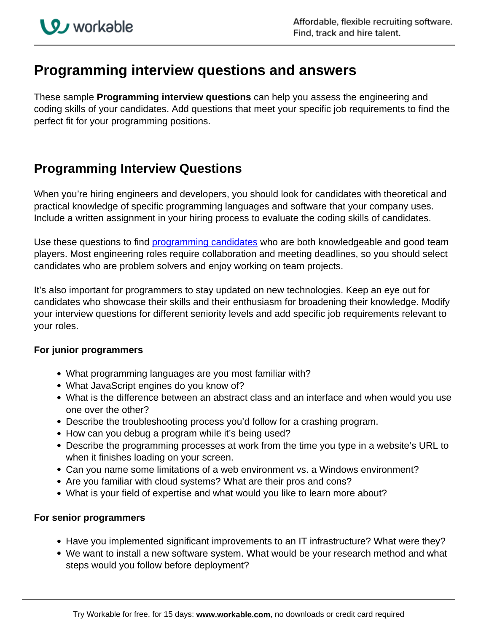## **Programming interview questions and answers**

These sample **Programming interview questions** can help you assess the engineering and coding skills of your candidates. Add questions that meet your specific job requirements to find the perfect fit for your programming positions.

## **Programming Interview Questions**

When you're hiring engineers and developers, you should look for candidates with theoretical and practical knowledge of specific programming languages and software that your company uses. Include a written assignment in your hiring process to evaluate the coding skills of candidates.

Use these questions to find [programming candidates](https://resources.workable.com/find-programmer-boolean-search-strings) who are both knowledgeable and good team players. Most engineering roles require collaboration and meeting deadlines, so you should select candidates who are problem solvers and enjoy working on team projects.

It's also important for programmers to stay updated on new technologies. Keep an eye out for candidates who showcase their skills and their enthusiasm for broadening their knowledge. Modify your interview questions for different seniority levels and add specific job requirements relevant to your roles.

## **For junior programmers**

- What programming languages are you most familiar with?
- What JavaScript engines do you know of?
- What is the difference between an abstract class and an interface and when would you use one over the other?
- Describe the troubleshooting process you'd follow for a crashing program.
- How can you debug a program while it's being used?
- Describe the programming processes at work from the time you type in a website's URL to when it finishes loading on your screen.
- Can you name some limitations of a web environment vs. a Windows environment?
- Are you familiar with cloud systems? What are their pros and cons?
- What is your field of expertise and what would you like to learn more about?

## **For senior programmers**

- Have you implemented significant improvements to an IT infrastructure? What were they?
- We want to install a new software system. What would be your research method and what steps would you follow before deployment?